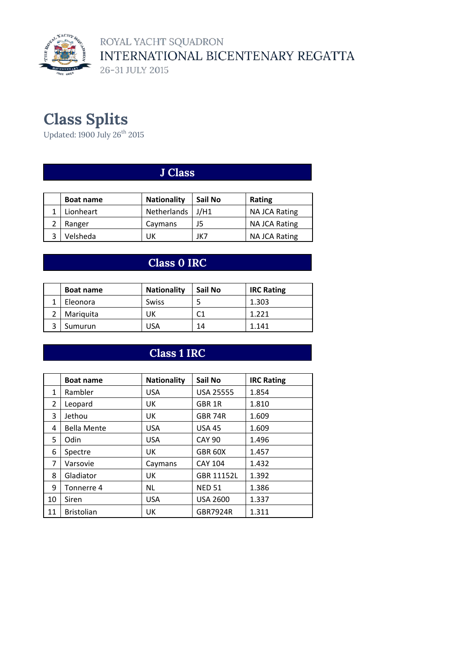

ROYAL YACHT SQUADRON INTERNATIONAL BICENTENARY REGATTA 26-31 JULY 2015

# **Class Splits**

Updated: 1900 July 26 $^{\rm th}$  2015

#### **J Class**

| <b>Boat name</b> | <b>Nationality</b> | Sail No | Rating               |
|------------------|--------------------|---------|----------------------|
| Lionheart        | Netherlands   J/H1 |         | NA JCA Rating        |
| Ranger           | Caymans            | J5      | <b>NA JCA Rating</b> |
| Velsheda         | UK                 | JK7     | NA JCA Rating        |

#### **Class 0 IRC**

| <b>Boat name</b> | <b>Nationality</b> | Sail No | <b>IRC Rating</b> |
|------------------|--------------------|---------|-------------------|
| Eleonora         | <b>Swiss</b>       |         | 1.303             |
| Mariquita        | UK                 |         | 1 221             |
| Sumurun          | 'JSA               | 14      | 1.141             |

#### **Class 1 IRC**

|    | <b>Boat name</b>   | <b>Nationality</b> | Sail No             | <b>IRC Rating</b> |
|----|--------------------|--------------------|---------------------|-------------------|
| 1  | Rambler            | <b>USA</b>         | <b>USA 25555</b>    | 1.854             |
| 2  | Leopard            | UK                 | GBR 1R              | 1.810             |
| 3  | Jethou             | UK                 | <b>GBR 74R</b>      | 1.609             |
| 4  | <b>Bella Mente</b> | <b>USA</b>         | <b>USA 45</b>       | 1.609             |
| 5. | Odin               | <b>USA</b>         | <b>CAY 90</b>       | 1.496             |
| 6  | Spectre            | UK                 | GBR <sub>60</sub> X | 1.457             |
| 7  | Varsovie           | Caymans            | <b>CAY 104</b>      | 1.432             |
| 8  | Gladiator          | UK                 | <b>GBR 11152L</b>   | 1.392             |
| 9  | Tonnerre 4         | NL.                | <b>NED 51</b>       | 1.386             |
| 10 | Siren              | <b>USA</b>         | <b>USA 2600</b>     | 1.337             |
| 11 | <b>Bristolian</b>  | UK                 | <b>GBR7924R</b>     | 1.311             |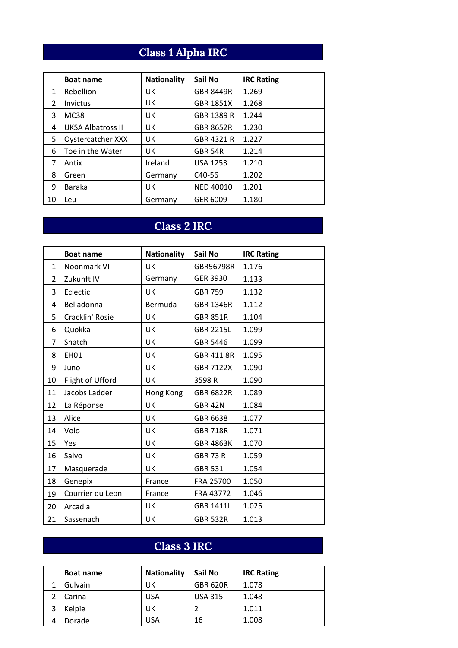# **Class 1 Alpha IRC**

|    | <b>Boat name</b>         | <b>Nationality</b> | Sail No             | <b>IRC Rating</b> |
|----|--------------------------|--------------------|---------------------|-------------------|
| 1  | Rebellion                | UK                 | GBR 8449R           | 1.269             |
| 2  | Invictus                 | UK                 | <b>GBR 1851X</b>    | 1.268             |
| 3  | <b>MC38</b>              | UK                 | GBR 1389 R          | 1.244             |
| 4  | <b>UKSA Albatross II</b> | UK                 | GBR 8652R           | 1.230             |
| 5  | Oystercatcher XXX        | UK                 | GBR 4321 R          | 1.227             |
| 6  | Toe in the Water         | UK                 | <b>GBR 54R</b>      | 1.214             |
| 7  | Antix                    | Ireland            | <b>USA 1253</b>     | 1.210             |
| 8  | Green                    | Germany            | C <sub>40</sub> -56 | 1.202             |
| 9  | Baraka                   | UK                 | <b>NED 40010</b>    | 1.201             |
| 10 | Leu                      | Germany            | GER 6009            | 1.180             |

# **Class 2 IRC**

|                | <b>Boat name</b> | <b>Nationality</b> | Sail No          | <b>IRC Rating</b> |
|----------------|------------------|--------------------|------------------|-------------------|
| $\mathbf{1}$   | Noonmark VI      | UK                 | GBR56798R        | 1.176             |
| $\overline{2}$ | Zukunft IV       | Germany            | <b>GER 3930</b>  | 1.133             |
| 3              | Eclectic         | UK                 | <b>GBR 759</b>   | 1.132             |
| 4              | Belladonna       | Bermuda            | <b>GBR 1346R</b> | 1.112             |
| 5              | Cracklin' Rosie  | UK                 | <b>GBR 851R</b>  | 1.104             |
| 6              | Quokka           | UK                 | <b>GBR 2215L</b> | 1.099             |
| 7              | Snatch           | UK                 | GBR 5446         | 1.099             |
| 8              | <b>EH01</b>      | UK                 | GBR 411 8R       | 1.095             |
| 9              | Juno             | UK                 | <b>GBR 7122X</b> | 1.090             |
| 10             | Flight of Ufford | UK                 | 3598R            | 1.090             |
| 11             | Jacobs Ladder    | Hong Kong          | <b>GBR 6822R</b> | 1.089             |
| 12             | La Réponse       | UK                 | <b>GBR 42N</b>   | 1.084             |
| 13             | Alice            | UK                 | GBR 6638         | 1.077             |
| 14             | Volo             | UK                 | <b>GBR 718R</b>  | 1.071             |
| 15             | Yes              | UK                 | <b>GBR 4863K</b> | 1.070             |
| 16             | Salvo            | UK                 | <b>GBR 73 R</b>  | 1.059             |
| 17             | Masquerade       | UK                 | <b>GBR 531</b>   | 1.054             |
| 18             | Genepix          | France             | FRA 25700        | 1.050             |
| 19             | Courrier du Leon | France             | FRA 43772        | 1.046             |
| 20             | Arcadia          | UK                 | <b>GBR 1411L</b> | 1.025             |
| 21             | Sassenach        | UK                 | <b>GBR 532R</b>  | 1.013             |

# **Class 3 IRC**

| <b>Boat name</b> | <b>Nationality</b> | Sail No         | <b>IRC Rating</b> |
|------------------|--------------------|-----------------|-------------------|
| Gulvain          | UK                 | <b>GBR 620R</b> | 1.078             |
| Carina           | <b>USA</b>         | <b>USA 315</b>  | 1.048             |
| Kelpie           | UK                 |                 | 1.011             |
| Dorade           | <b>USA</b>         | 16              | 1.008             |